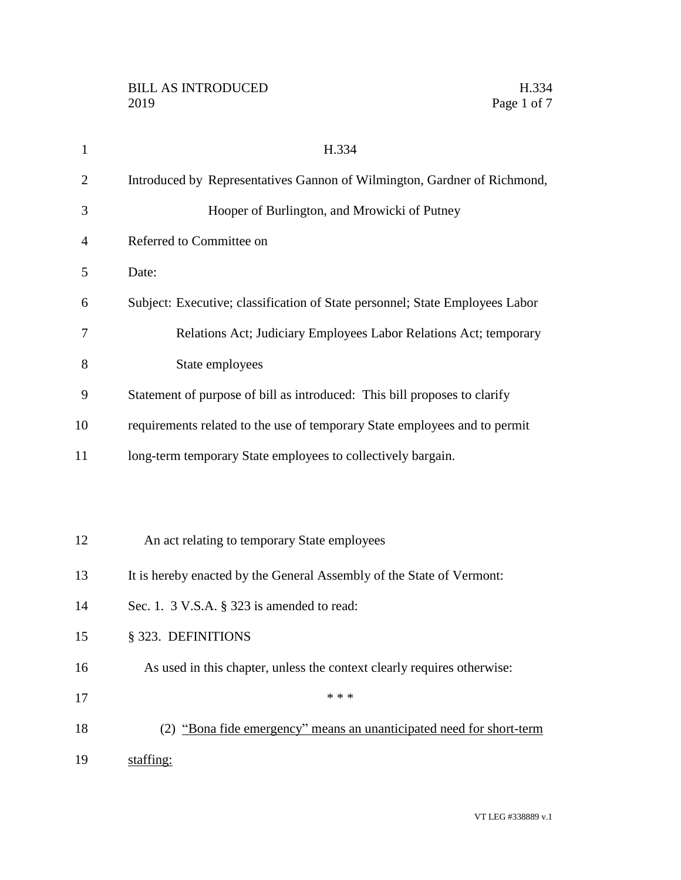| $\mathbf{1}$   | H.334                                                                        |
|----------------|------------------------------------------------------------------------------|
| $\overline{2}$ | Introduced by Representatives Gannon of Wilmington, Gardner of Richmond,     |
| 3              | Hooper of Burlington, and Mrowicki of Putney                                 |
| 4              | Referred to Committee on                                                     |
| 5              | Date:                                                                        |
| 6              | Subject: Executive; classification of State personnel; State Employees Labor |
| 7              | Relations Act; Judiciary Employees Labor Relations Act; temporary            |
| 8              | State employees                                                              |
| 9              | Statement of purpose of bill as introduced: This bill proposes to clarify    |
| 10             | requirements related to the use of temporary State employees and to permit   |
| 11             | long-term temporary State employees to collectively bargain.                 |
|                |                                                                              |
|                |                                                                              |
| 12             | An act relating to temporary State employees                                 |
| 13             | It is hereby enacted by the General Assembly of the State of Vermont:        |
| 14             | Sec. 1. $3$ V.S.A. $\S$ 323 is amended to read:                              |
| 15             | § 323. DEFINITIONS                                                           |
| 16             | As used in this chapter, unless the context clearly requires otherwise:      |
| 17             | * * *                                                                        |
| 18             | (2) "Bona fide emergency" means an unanticipated need for short-term         |
| 19             | staffing:                                                                    |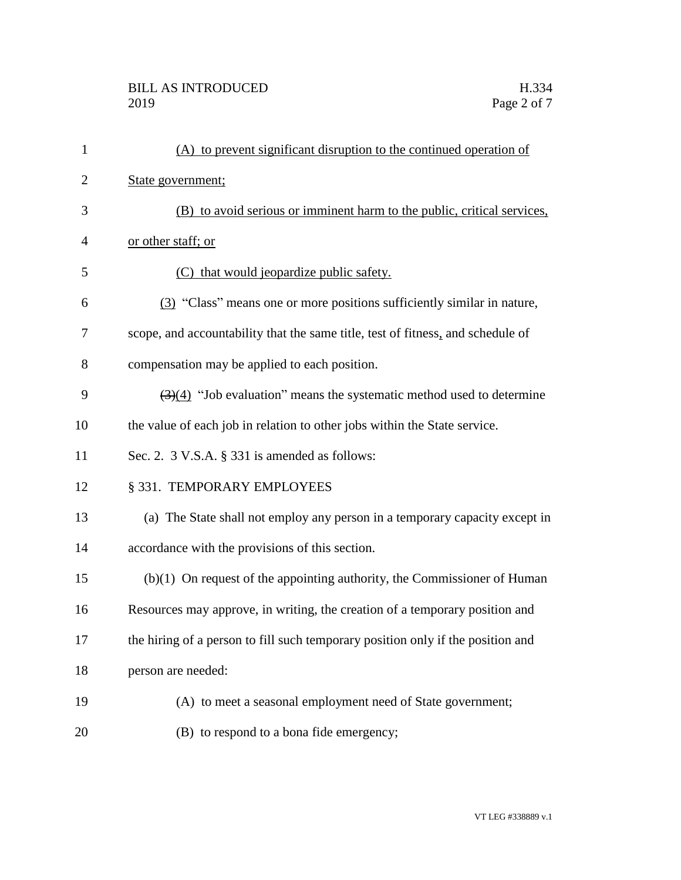| $\mathbf{1}$ | (A) to prevent significant disruption to the continued operation of                       |
|--------------|-------------------------------------------------------------------------------------------|
| 2            | State government;                                                                         |
| 3            | (B) to avoid serious or imminent harm to the public, critical services,                   |
| 4            | or other staff; or                                                                        |
| 5            | (C) that would jeopardize public safety.                                                  |
| 6            | (3) "Class" means one or more positions sufficiently similar in nature,                   |
| 7            | scope, and accountability that the same title, test of fitness, and schedule of           |
| 8            | compensation may be applied to each position.                                             |
| 9            | $\left(\frac{3}{4}\right)$ "Job evaluation" means the systematic method used to determine |
| 10           | the value of each job in relation to other jobs within the State service.                 |
| 11           | Sec. 2. 3 V.S.A. § 331 is amended as follows:                                             |
| 12           | § 331. TEMPORARY EMPLOYEES                                                                |
| 13           | (a) The State shall not employ any person in a temporary capacity except in               |
| 14           | accordance with the provisions of this section.                                           |
| 15           | $(b)(1)$ On request of the appointing authority, the Commissioner of Human                |
| 16           | Resources may approve, in writing, the creation of a temporary position and               |
| 17           | the hiring of a person to fill such temporary position only if the position and           |
| 18           | person are needed:                                                                        |
| 19           | (A) to meet a seasonal employment need of State government;                               |
| 20           | (B) to respond to a bona fide emergency;                                                  |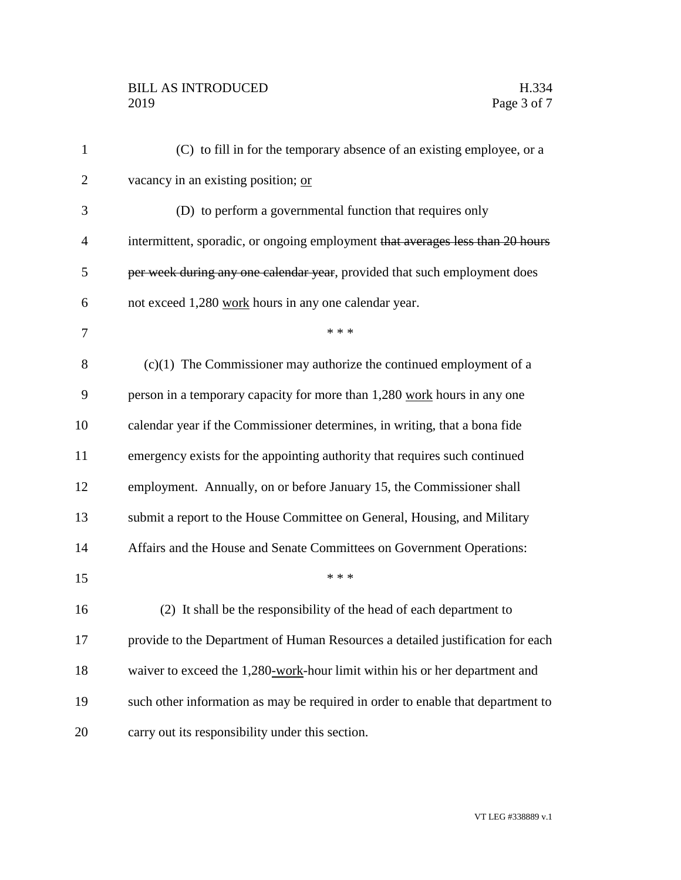## BILL AS INTRODUCED H.334<br>2019 Page 3 of 7

| $\mathbf{1}$   | (C) to fill in for the temporary absence of an existing employee, or a          |
|----------------|---------------------------------------------------------------------------------|
| $\overline{2}$ | vacancy in an existing position; or                                             |
| 3              | (D) to perform a governmental function that requires only                       |
| 4              | intermittent, sporadic, or ongoing employment that averages less than 20 hours  |
| 5              | per week during any one calendar year, provided that such employment does       |
| 6              | not exceed 1,280 work hours in any one calendar year.                           |
| 7              | * * *                                                                           |
| 8              | $(c)(1)$ The Commissioner may authorize the continued employment of a           |
| 9              | person in a temporary capacity for more than 1,280 work hours in any one        |
| 10             | calendar year if the Commissioner determines, in writing, that a bona fide      |
| 11             | emergency exists for the appointing authority that requires such continued      |
| 12             | employment. Annually, on or before January 15, the Commissioner shall           |
| 13             | submit a report to the House Committee on General, Housing, and Military        |
| 14             | Affairs and the House and Senate Committees on Government Operations:           |
| 15             | * * *                                                                           |
| 16             | (2) It shall be the responsibility of the head of each department to            |
| 17             | provide to the Department of Human Resources a detailed justification for each  |
| 18             | waiver to exceed the 1,280-work-hour limit within his or her department and     |
| 19             | such other information as may be required in order to enable that department to |
| 20             | carry out its responsibility under this section.                                |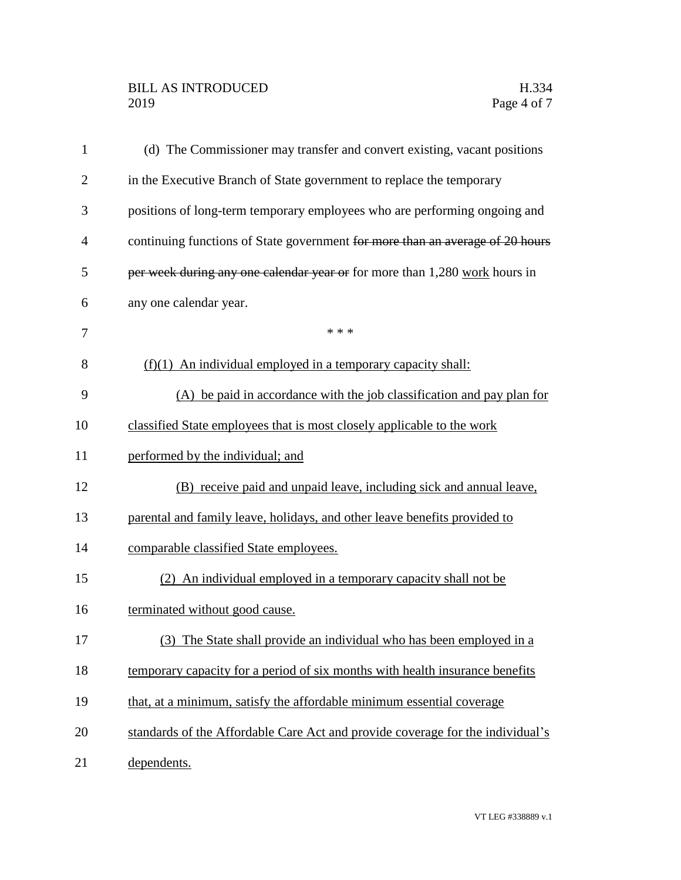## BILL AS INTRODUCED H.334<br>2019 Page 4 of 7

| $\mathbf{1}$   | (d) The Commissioner may transfer and convert existing, vacant positions       |
|----------------|--------------------------------------------------------------------------------|
| $\overline{2}$ | in the Executive Branch of State government to replace the temporary           |
| 3              | positions of long-term temporary employees who are performing ongoing and      |
| $\overline{4}$ | continuing functions of State government for more than an average of 20 hours  |
| 5              | per week during any one calendar year or for more than 1,280 work hours in     |
| 6              | any one calendar year.                                                         |
| 7              | * * *                                                                          |
| 8              | $(f)(1)$ An individual employed in a temporary capacity shall:                 |
| 9              | (A) be paid in accordance with the job classification and pay plan for         |
| 10             | classified State employees that is most closely applicable to the work         |
| 11             | performed by the individual; and                                               |
| 12             | (B) receive paid and unpaid leave, including sick and annual leave,            |
| 13             | parental and family leave, holidays, and other leave benefits provided to      |
| 14             | comparable classified State employees.                                         |
| 15             | (2) An individual employed in a temporary capacity shall not be                |
| 16             | terminated without good cause.                                                 |
| 17             | (3)<br>The State shall provide an individual who has been employed in a        |
| 18             | temporary capacity for a period of six months with health insurance benefits   |
| 19             | that, at a minimum, satisfy the affordable minimum essential coverage          |
| 20             | standards of the Affordable Care Act and provide coverage for the individual's |
| 21             | dependents.                                                                    |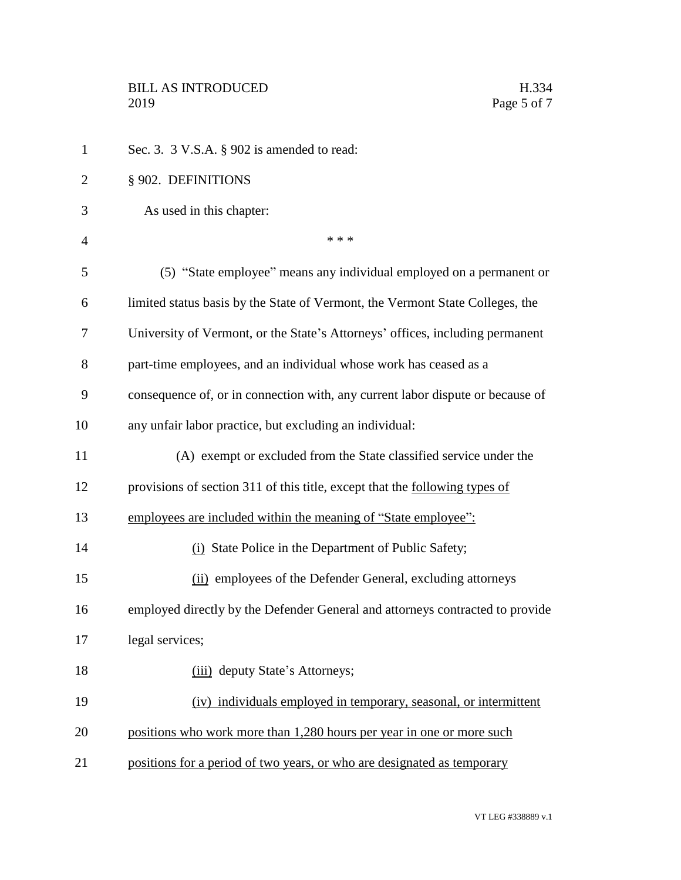| $\mathbf{1}$   | Sec. 3. 3 V.S.A. § 902 is amended to read:                                     |
|----------------|--------------------------------------------------------------------------------|
| $\overline{2}$ | § 902. DEFINITIONS                                                             |
| 3              | As used in this chapter:                                                       |
| 4              | * * *                                                                          |
| 5              | (5) "State employee" means any individual employed on a permanent or           |
| 6              | limited status basis by the State of Vermont, the Vermont State Colleges, the  |
| 7              | University of Vermont, or the State's Attorneys' offices, including permanent  |
| 8              | part-time employees, and an individual whose work has ceased as a              |
| 9              | consequence of, or in connection with, any current labor dispute or because of |
| 10             | any unfair labor practice, but excluding an individual:                        |
| 11             | (A) exempt or excluded from the State classified service under the             |
| 12             | provisions of section 311 of this title, except that the following types of    |
| 13             | employees are included within the meaning of "State employee":                 |
| 14             | (i) State Police in the Department of Public Safety;                           |
| 15             | (ii) employees of the Defender General, excluding attorneys                    |
| 16             | employed directly by the Defender General and attorneys contracted to provide  |
| 17             | legal services;                                                                |
| 18             | (iii) deputy State's Attorneys;                                                |
| 19             | (iv) individuals employed in temporary, seasonal, or intermittent              |
| 20             | positions who work more than 1,280 hours per year in one or more such          |
| 21             | positions for a period of two years, or who are designated as temporary        |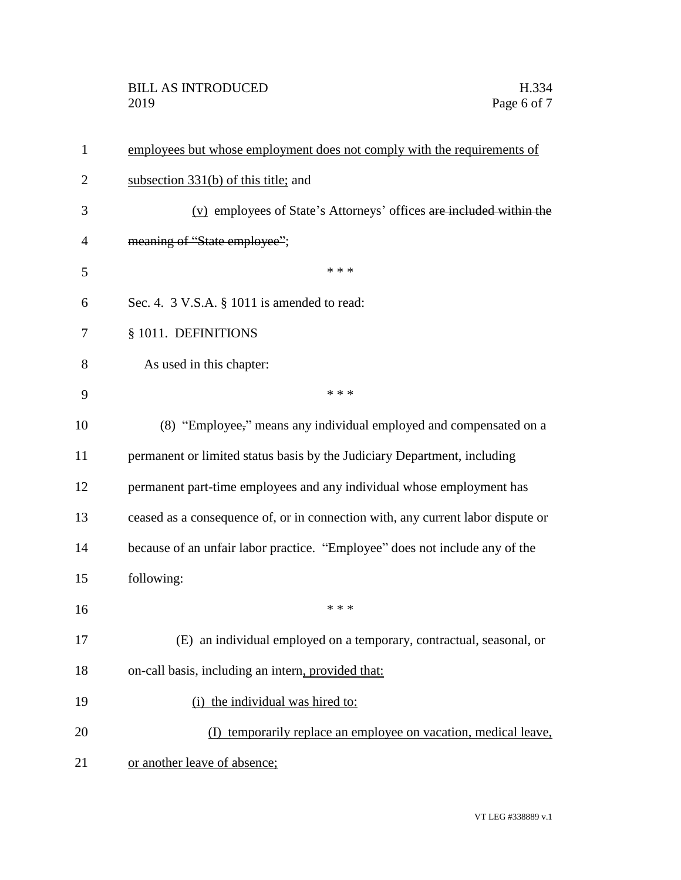## BILL AS INTRODUCED H.334<br>2019 Page 6 of 7

| $\mathbf{1}$   | employees but whose employment does not comply with the requirements of         |
|----------------|---------------------------------------------------------------------------------|
| $\overline{2}$ | subsection $331(b)$ of this title; and                                          |
| 3              | (v) employees of State's Attorneys' offices are included within the             |
| $\overline{4}$ | meaning of "State employee";                                                    |
| 5              | * * *                                                                           |
| 6              | Sec. 4. 3 V.S.A. § 1011 is amended to read:                                     |
| 7              | § 1011. DEFINITIONS                                                             |
| 8              | As used in this chapter:                                                        |
| 9              | * * *                                                                           |
| 10             | (8) "Employee," means any individual employed and compensated on a              |
| 11             | permanent or limited status basis by the Judiciary Department, including        |
| 12             | permanent part-time employees and any individual whose employment has           |
| 13             | ceased as a consequence of, or in connection with, any current labor dispute or |
| 14             | because of an unfair labor practice. "Employee" does not include any of the     |
| 15             | following:                                                                      |
| 16             | * * *                                                                           |
| 17             | (E) an individual employed on a temporary, contractual, seasonal, or            |
| 18             | on-call basis, including an intern, provided that:                              |
| 19             | (i) the individual was hired to:                                                |
| 20             | (I) temporarily replace an employee on vacation, medical leave,                 |
| 21             | or another leave of absence;                                                    |